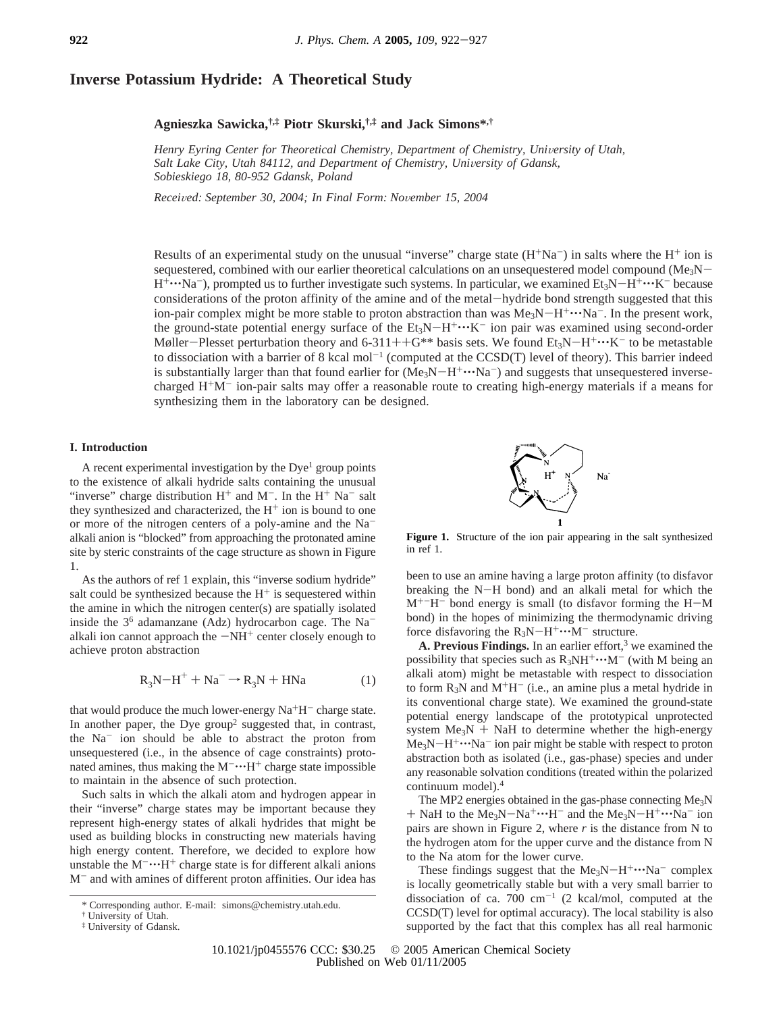# **Inverse Potassium Hydride: A Theoretical Study**

# **Agnieszka Sawicka,†,‡ Piotr Skurski,†,‡ and Jack Simons\*,†**

Henry Eyring Center for Theoretical Chemistry, Department of Chemistry, University of Utah, *Salt Lake City, Utah 84112, and Department of Chemistry, University of Gdansk, Sobieskiego 18, 80-952 Gdansk, Poland*

*Recei*V*ed: September 30, 2004; In Final Form: No*V*ember 15, 2004*

Results of an experimental study on the unusual "inverse" charge state  $(H^+Na^-)$  in salts where the  $H^+$  ion is sequestered, combined with our earlier theoretical calculations on an unsequestered model compound ( $Me<sub>3</sub>N H^+\cdots$ Na<sup>-</sup>), prompted us to further investigate such systems. In particular, we examined Et<sub>3</sub>N-H<sup>+</sup> $\cdots$ K<sup>-</sup> because considerations of the proton affinity of the amine and of the metal-hydride bond strength suggested that this ion-pair complex might be more stable to proton abstraction than was  $Me<sub>3</sub>N-H<sup>+</sup> \cdot \cdot \cdot Na<sup>-</sup>$ . In the present work, the ground-state potential energy surface of the  $Et_3N-H^+\cdots K^-$  ion pair was examined using second-order Møller-Plesset perturbation theory and 6-311++G\*\* basis sets. We found  $Et_3N-H^+\cdots K^-$  to be metastable to dissociation with a barrier of 8 kcal mol<sup>-1</sup> (computed at the CCSD(T) level of theory). This barrier indeed is substantially larger than that found earlier for  $(Me_3N-H^+\cdots Na^-)$  and suggests that unsequestered inversecharged  $H^+M^-$  ion-pair salts may offer a reasonable route to creating high-energy materials if a means for synthesizing them in the laboratory can be designed.

# **I. Introduction**

A recent experimental investigation by the  $Dye<sup>1</sup>$  group points to the existence of alkali hydride salts containing the unusual "inverse" charge distribution  $H^+$  and  $M^-$ . In the  $H^+$  Na<sup>-</sup> salt they synthesized and characterized, the  $H^+$  ion is bound to one or more of the nitrogen centers of a poly-amine and the Naalkali anion is "blocked" from approaching the protonated amine site by steric constraints of the cage structure as shown in Figure 1.

As the authors of ref 1 explain, this "inverse sodium hydride" salt could be synthesized because the  $H<sup>+</sup>$  is sequestered within the amine in which the nitrogen center(s) are spatially isolated inside the  $3<sup>6</sup>$  adamanzane (Adz) hydrocarbon cage. The Na<sup>-</sup> alkali ion cannot approach the  $-NH^+$  center closely enough to achieve proton abstraction

$$
R_3N - H^+ + Na^- \rightarrow R_3N + HNa \tag{1}
$$

that would produce the much lower-energy  $Na<sup>+</sup>H<sup>-</sup>$  charge state. In another paper, the Dye group<sup>2</sup> suggested that, in contrast, the Na<sup>-</sup> ion should be able to abstract the proton from unsequestered (i.e., in the absence of cage constraints) protonated amines, thus making the  $M^{-} \cdot H^{+}$  charge state impossible to maintain in the absence of such protection.

Such salts in which the alkali atom and hydrogen appear in their "inverse" charge states may be important because they represent high-energy states of alkali hydrides that might be used as building blocks in constructing new materials having high energy content. Therefore, we decided to explore how unstable the  $M^{-} \cdot H^{+}$  charge state is for different alkali anions M- and with amines of different proton affinities. Our idea has



**Figure 1.** Structure of the ion pair appearing in the salt synthesized in ref 1.

been to use an amine having a large proton affinity (to disfavor breaking the N-H bond) and an alkali metal for which the  $M^{+-}H^-$  bond energy is small (to disfavor forming the  $H-M$ bond) in the hopes of minimizing the thermodynamic driving force disfavoring the  $R_3N-H^+\cdots M^-$  structure.

**A. Previous Findings.** In an earlier effort, $3$  we examined the possibility that species such as  $R_3NH^+\cdots M^-$  (with M being an alkali atom) might be metastable with respect to dissociation to form  $R_3N$  and  $M^+H^-$  (i.e., an amine plus a metal hydride in its conventional charge state). We examined the ground-state potential energy landscape of the prototypical unprotected system  $Me<sub>3</sub>N$  + NaH to determine whether the high-energy  $Me<sub>3</sub>N-H<sup>+</sup>...Na<sup>-</sup>$  ion pair might be stable with respect to proton abstraction both as isolated (i.e., gas-phase) species and under any reasonable solvation conditions (treated within the polarized continuum model).4

The MP2 energies obtained in the gas-phase connecting Me<sub>3</sub>N  $+$  NaH to the Me<sub>3</sub>N-Na<sup>+</sup>···H<sup>-</sup> and the Me<sub>3</sub>N-H<sup>+</sup>···Na<sup>-</sup> ion pairs are shown in Figure 2, where *r* is the distance from N to the hydrogen atom for the upper curve and the distance from N to the Na atom for the lower curve.

These findings suggest that the  $Me<sub>3</sub>N-H<sup>+</sup> \cdots Na<sup>-</sup>$  complex is locally geometrically stable but with a very small barrier to dissociation of ca. 700  $cm^{-1}$  (2 kcal/mol, computed at the CCSD(T) level for optimal accuracy). The local stability is also supported by the fact that this complex has all real harmonic

<sup>\*</sup> Corresponding author. E-mail: simons@chemistry.utah.edu.

<sup>†</sup> University of Utah.

<sup>‡</sup> University of Gdansk.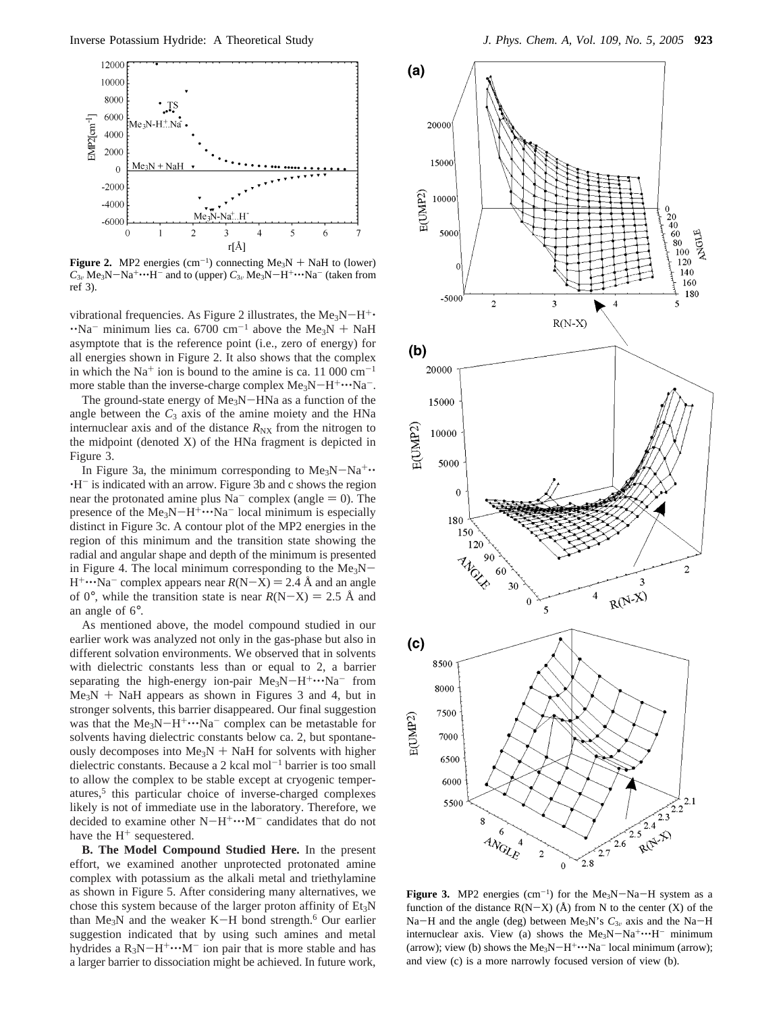

**Figure 2.** MP2 energies  $(\text{cm}^{-1})$  connecting Me<sub>3</sub>N + NaH to (lower)<br>C<sub>2</sub>, Me<sub>2</sub>N – Na<sup>+</sup>···H<sup>-</sup> and to (upper) C<sub>2</sub>, Me<sub>2</sub>N – H<sup>+</sup>····Na<sup>-</sup> (taken from  $C_{3v}$  Me<sub>3</sub>N-Na<sup>+</sup>···H<sup>-</sup> and to (upper)  $C_{3v}$  Me<sub>3</sub>N-H<sup>+</sup>···Na<sup>-</sup> (taken from ref 3).

vibrational frequencies. As Figure 2 illustrates, the Me<sub>3</sub>N-H<sup>+</sup> $\cdot$  $\cdot$ 'Na<sup>-</sup> minimum lies ca. 6700 cm<sup>-1</sup> above the Me<sub>3</sub>N + NaH asymptote that is the reference point (i.e., zero of energy) for all energies shown in Figure 2. It also shows that the complex in which the  $Na<sup>+</sup>$  ion is bound to the amine is ca. 11 000 cm<sup>-1</sup> more stable than the inverse-charge complex  $Me<sub>3</sub>N-H<sup>+</sup> \cdots Na<sup>-</sup>$ .

The ground-state energy of Me<sub>3</sub>N-HNa as a function of the angle between the  $C_3$  axis of the amine moiety and the HNa internuclear axis and of the distance  $R_{\text{NX}}$  from the nitrogen to the midpoint (denoted X) of the HNa fragment is depicted in Figure 3.

In Figure 3a, the minimum corresponding to  $Me<sub>3</sub>N-Na<sup>+</sup>$ .  $\cdot$ H<sup>-</sup> is indicated with an arrow. Figure 3b and c shows the region near the protonated amine plus  $Na^-$  complex (angle  $= 0$ ). The presence of the  $Me_3N-H^+\cdots Na^-$  local minimum is especially distinct in Figure 3c. A contour plot of the MP2 energies in the region of this minimum and the transition state showing the radial and angular shape and depth of the minimum is presented in Figure 4. The local minimum corresponding to the  $Me<sub>3</sub>N H^+\cdots Na^-$  complex appears near  $R(N-X) = 2.4$  Å and an angle of 0°, while the transition state is near  $R(N-X) = 2.5$  Å and an angle of 6°.

As mentioned above, the model compound studied in our earlier work was analyzed not only in the gas-phase but also in different solvation environments. We observed that in solvents with dielectric constants less than or equal to 2, a barrier separating the high-energy ion-pair  $Me<sub>3</sub>N-H<sup>+</sup>...Na<sup>-</sup>$  from  $Me<sub>3</sub>N$  + NaH appears as shown in Figures 3 and 4, but in stronger solvents, this barrier disappeared. Our final suggestion was that the  $Me_3N-H^+\cdots Na^-$  complex can be metastable for solvents having dielectric constants below ca. 2, but spontaneously decomposes into  $Me<sub>3</sub>N + NaH$  for solvents with higher dielectric constants. Because a  $2$  kcal mol<sup>-1</sup> barrier is too small to allow the complex to be stable except at cryogenic temperatures,<sup>5</sup> this particular choice of inverse-charged complexes likely is not of immediate use in the laboratory. Therefore, we decided to examine other  $N-H^+\cdots M^-$  candidates that do not have the  $H^+$  sequestered.

**B. The Model Compound Studied Here.** In the present effort, we examined another unprotected protonated amine complex with potassium as the alkali metal and triethylamine as shown in Figure 5. After considering many alternatives, we chose this system because of the larger proton affinity of Et<sub>3</sub>N than Me<sub>3</sub>N and the weaker K-H bond strength.<sup>6</sup> Our earlier suggestion indicated that by using such amines and metal hydrides a  $R_3N-H^+\cdots M^-$  ion pair that is more stable and has a larger barrier to dissociation might be achieved. In future work,



**Figure 3.** MP2 energies  $(\text{cm}^{-1})$  for the Me<sub>3</sub>N-Na-H system as a function of the distance  $R(N-X)$  ( $\hat{A}$ ) from N to the center (X) of the function of the distance  $R(N-X)$  (Å) from N to the center (X) of the Na-H and the angle (deg) between Me<sub>3</sub>N's  $C_{3v}$  axis and the Na-H internuclear axis. View (a) shows the  $Me<sub>3</sub>N-Na<sup>+</sup>...H<sup>-</sup>$  minimum (arrow); view (b) shows the  $Me<sub>3</sub>N-H<sup>+</sup>···Na<sup>-</sup>$  local minimum (arrow); and view (c) is a more narrowly focused version of view (b).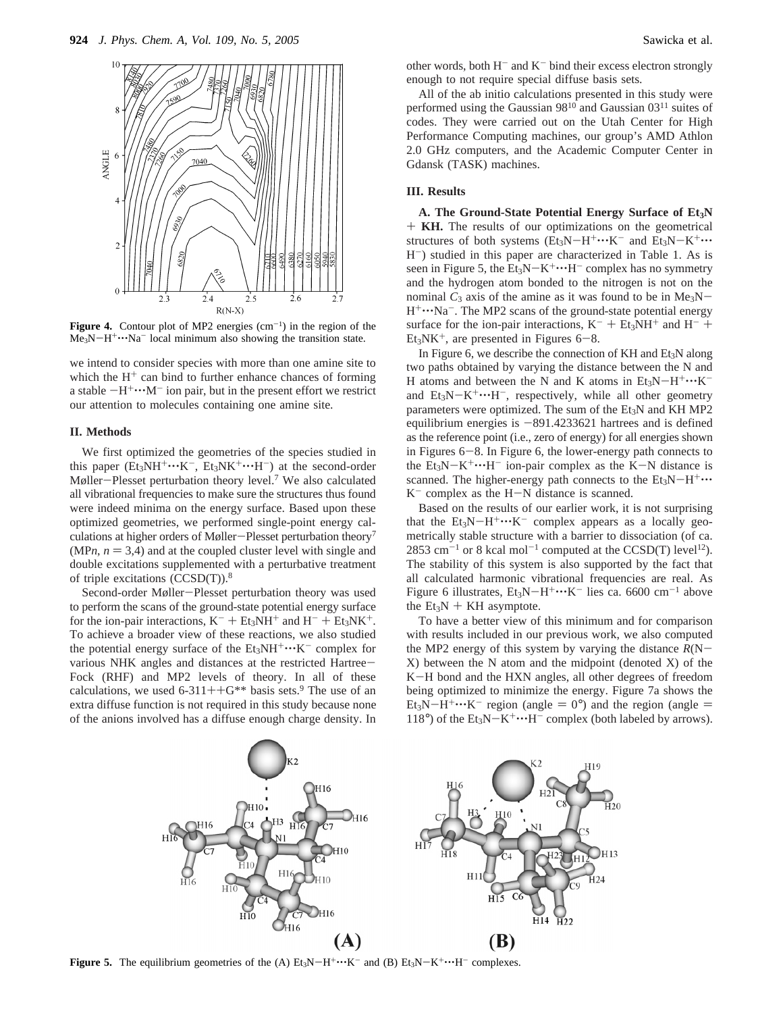

**Figure 4.** Contour plot of MP2 energies  $(cm<sup>-1</sup>)$  in the region of the  $Me<sub>3</sub>N-H<sup>+</sup>...Na<sup>-</sup>$  local minimum also showing the transition state.

we intend to consider species with more than one amine site to which the  $H^+$  can bind to further enhance chances of forming a stable  $-H^+\cdots M^-$  ion pair, but in the present effort we restrict our attention to molecules containing one amine site.

#### **II. Methods**

We first optimized the geometries of the species studied in this paper ( $Et_3NH^+\cdots K^-$ ,  $Et_3NK^+\cdots H^-$ ) at the second-order Møller-Plesset perturbation theory level.7 We also calculated all vibrational frequencies to make sure the structures thus found were indeed minima on the energy surface. Based upon these optimized geometries, we performed single-point energy calculations at higher orders of Møller-Plesset perturbation theory<sup>7</sup>  $(MPn, n = 3,4)$  and at the coupled cluster level with single and double excitations supplemented with a perturbative treatment of triple excitations (CCSD(T)).8

Second-order Møller-Plesset perturbation theory was used to perform the scans of the ground-state potential energy surface for the ion-pair interactions,  $K^-$  +  $Et_3NH^+$  and  $H^-$  +  $Et_3NK^+$ . To achieve a broader view of these reactions, we also studied the potential energy surface of the  $Et_3NH^+\cdots K^-$  complex for various NHK angles and distances at the restricted Hartree-Fock (RHF) and MP2 levels of theory. In all of these calculations, we used  $6-311++G**$  basis sets.<sup>9</sup> The use of an extra diffuse function is not required in this study because none of the anions involved has a diffuse enough charge density. In

other words, both  $H^-$  and  $K^-$  bind their excess electron strongly enough to not require special diffuse basis sets.

All of the ab initio calculations presented in this study were performed using the Gaussian 98<sup>10</sup> and Gaussian 03<sup>11</sup> suites of codes. They were carried out on the Utah Center for High Performance Computing machines, our group's AMD Athlon 2.0 GHz computers, and the Academic Computer Center in Gdansk (TASK) machines.

# **III. Results**

A. The Ground-State Potential Energy Surface of Et<sub>3</sub>N + **KH.** The results of our optimizations on the geometrical structures of both systems  $(Et_3N-H^+\cdots K^-$  and  $Et_3N-K^+\cdots$ H-) studied in this paper are characterized in Table 1. As is seen in Figure 5, the  $Et_3N-K^+\cdots H^-$  complex has no symmetry and the hydrogen atom bonded to the nitrogen is not on the nominal  $C_3$  axis of the amine as it was found to be in Me<sub>3</sub>N- $H^+\cdots Na^-$ . The MP2 scans of the ground-state potential energy surface for the ion-pair interactions,  $K^-$  + Et<sub>3</sub>NH<sup>+</sup> and H<sup>-</sup> +  $Et<sub>3</sub>NK<sup>+</sup>$ , are presented in Figures 6-8.

In Figure 6, we describe the connection of  $KH$  and  $Et_3N$  along two paths obtained by varying the distance between the N and H atoms and between the N and K atoms in  $Et_3N-H^+\cdots K^$ and  $Et_3N-K^+\cdots H^-$ , respectively, while all other geometry parameters were optimized. The sum of the Et<sub>3</sub>N and KH MP2 equilibrium energies is  $-891.4233621$  hartrees and is defined as the reference point (i.e., zero of energy) for all energies shown in Figures 6-8. In Figure 6, the lower-energy path connects to the  $Et_3N-K^+\cdots H^-$  ion-pair complex as the K-N distance is scanned. The higher-energy path connects to the  $Et_3N-H^+\cdots$  $K^-$  complex as the H-N distance is scanned.

Based on the results of our earlier work, it is not surprising that the  $Et_3N-H^+\cdots K^-$  complex appears as a locally geometrically stable structure with a barrier to dissociation (of ca. 2853 cm<sup>-1</sup> or 8 kcal mol<sup>-1</sup> computed at the CCSD(T) level<sup>12</sup>). The stability of this system is also supported by the fact that all calculated harmonic vibrational frequencies are real. As Figure 6 illustrates,  $Et_3N-H^+\cdots K^-$  lies ca. 6600 cm<sup>-1</sup> above the  $Et_3N + KH$  asymptote.

To have a better view of this minimum and for comparison with results included in our previous work, we also computed the MP2 energy of this system by varying the distance  $R(N-$ X) between the N atom and the midpoint (denoted X) of the <sup>K</sup>-H bond and the HXN angles, all other degrees of freedom being optimized to minimize the energy. Figure 7a shows the Et<sub>3</sub>N-H<sup>+</sup> $\cdots$ K<sup>-</sup> region (angle = 0°) and the region (angle = 118°) of the  $Et_3N-K^+\cdots H^-$  complex (both labeled by arrows).



**Figure 5.** The equilibrium geometries of the (A)  $Et_3N-H^+\cdots K^-$  and (B)  $Et_3N-K^+\cdots H^-$  complexes.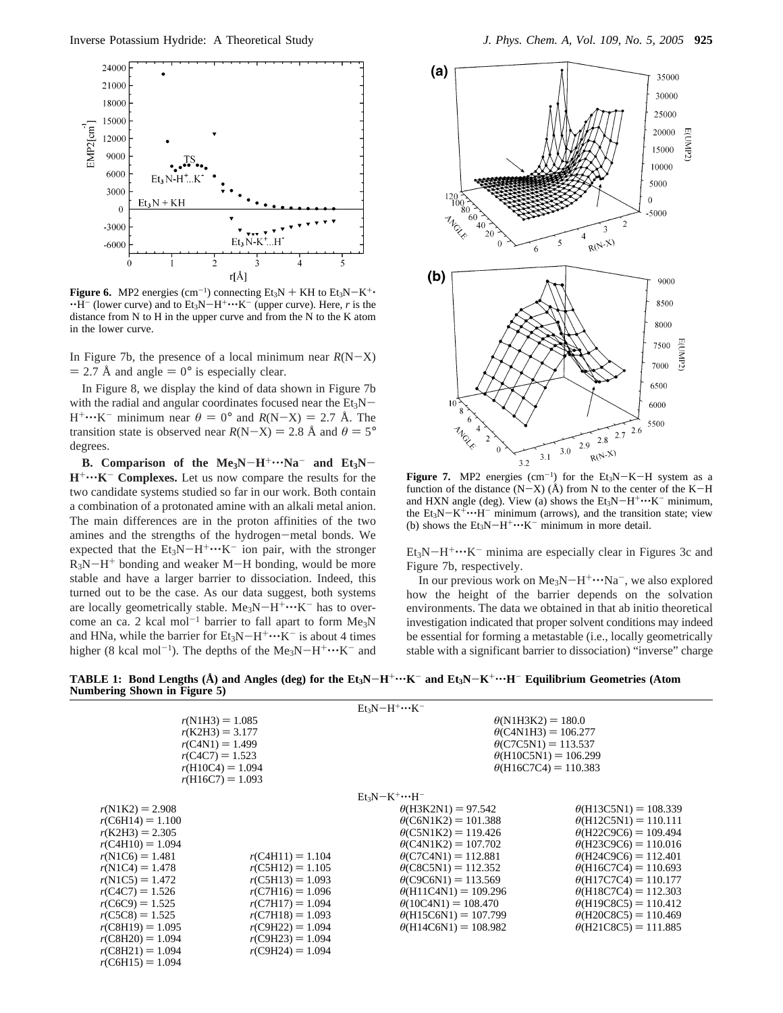

**Figure 6.** MP2 energies  $(cm^{-1})$  connecting Et<sub>3</sub>N + KH to Et<sub>3</sub>N-K<sup>+</sup>·<br>  $\cdot$ H<sup>-</sup> (lower curve) and to Et<sub>2</sub>N-H<sup>+</sup>···K<sup>-</sup> (upper curve). Here *r* is the  $\cdot$ H<sup>-</sup> (lower curve) and to Et<sub>3</sub>N-H<sup>+</sup> $\cdot$  $\cdot$ K<sup>-</sup> (upper curve). Here, *r* is the distance from N to H in the upper curve and from the N to the K atom in the lower curve.

In Figure 7b, the presence of a local minimum near  $R(N-X)$  $= 2.7 \text{ Å}$  and angle  $= 0^{\circ}$  is especially clear.

In Figure 8, we display the kind of data shown in Figure 7b with the radial and angular coordinates focused near the  $Et_3N H^+\cdots K^-$  minimum near  $\theta = 0^\circ$  and  $R(N-X) = 2.7$  Å. The transition state is observed near  $R(N-X) = 2.8 \text{ Å}$  and  $\theta = 5^{\circ}$ degrees.

**B.** Comparison of the  $Me_3N-H^+\cdots Na^-$  and  $Et_3N-$ **H**<sup>+</sup> $\cdots$ **K**<sup>-</sup> **Complexes.** Let us now compare the results for the two candidate systems studied so far in our work. Both contain a combination of a protonated amine with an alkali metal anion. The main differences are in the proton affinities of the two amines and the strengths of the hydrogen-metal bonds. We expected that the  $Et_3N-H^+\cdots K^-$  ion pair, with the stronger  $R_3N-H^+$  bonding and weaker M-H bonding, would be more stable and have a larger barrier to dissociation. Indeed, this turned out to be the case. As our data suggest, both systems are locally geometrically stable. Me<sub>3</sub>N-H<sup>+</sup> $\cdots$ K<sup>-</sup> has to overcome an ca. 2 kcal mol<sup>-1</sup> barrier to fall apart to form  $Me<sub>3</sub>N$ and HNa, while the barrier for  $Et_3N-H^+\cdots K^-$  is about 4 times higher (8 kcal mol<sup>-1</sup>). The depths of the Me<sub>3</sub>N-H<sup>+</sup> $\cdots$ K<sup>-</sup> and



**Figure 7.** MP2 energies  $(\text{cm}^{-1})$  for the Et<sub>3</sub>N-K-H system as a function of the distance  $(N-X)$  ( $\AA$ ) from N to the center of the K-H function of the distance  $(N-X)$  (Å) from N to the center of the K-H and HXN angle (deg). View (a) shows the  $Et_3N-H^+\cdots K^-$  minimum, the  $Et_3N-K^+\cdots H^-$  minimum (arrows), and the transition state; view (b) shows the  $Et_3N-H^+\cdots K^-$  minimum in more detail.

 $Et<sub>3</sub>N-H<sup>+</sup>...K<sup>-</sup>$  minima are especially clear in Figures 3c and Figure 7b, respectively.

In our previous work on  $Me<sub>3</sub>N-H<sup>+</sup> \cdots Na<sup>-</sup>$ , we also explored how the height of the barrier depends on the solvation environments. The data we obtained in that ab initio theoretical investigation indicated that proper solvent conditions may indeed be essential for forming a metastable (i.e., locally geometrically stable with a significant barrier to dissociation) "inverse" charge

**TABLE 1:** Bond Lengths  $(A)$  and Angles (deg) for the Et<sub>3</sub>N-H<sup>+</sup> $\cdots$ K<sup>-</sup> and Et<sub>3</sub>N-K<sup>+</sup> $\cdots$ H<sup>-</sup> Equilibrium Geometries (Atom **Numbering Shown in Figure 5)**

|                                                                                                                              |                    | $Et_3N-H^+\cdots K^-$                                                                                                                                  |                              |
|------------------------------------------------------------------------------------------------------------------------------|--------------------|--------------------------------------------------------------------------------------------------------------------------------------------------------|------------------------------|
| $r(N1H3) = 1.085$<br>$r(K2H3) = 3.177$<br>$r(C4N1) = 1.499$<br>$r(C4C7) = 1.523$<br>$r(H10C4) = 1.094$<br>$r(H16C7) = 1.093$ |                    | $\theta(N1H3K2) = 180.0$<br>$\theta$ (C4N1H3) = 106.277<br>$\theta$ (C7C5N1) = 113.537<br>$\theta$ (H10C5N1) = 106.299<br>$\theta$ (H16C7C4) = 110.383 |                              |
|                                                                                                                              |                    | $Et_3N-K^+\cdots H^-$                                                                                                                                  |                              |
| $r(N1K2) = 2.908$                                                                                                            |                    | $\theta$ (H3K2N1) = 97.542                                                                                                                             | $\theta$ (H13C5N1) = 108.339 |
| $r(C6H14) = 1.100$                                                                                                           |                    | $\theta$ (C6N1K2) = 101.388                                                                                                                            | $\theta$ (H12C5N1) = 110.111 |
| $r(K2H3) = 2.305$                                                                                                            |                    | $\theta$ (C5N1K2) = 119.426                                                                                                                            | $\theta$ (H22C9C6) = 109.494 |
| $r(C4H10) = 1.094$                                                                                                           |                    | $\theta$ (C4N1K2) = 107.702                                                                                                                            | $\theta$ (H23C9C6) = 110.016 |
| $r(N1C6) = 1.481$                                                                                                            | $r(C4H11) = 1.104$ | $\theta$ (C7C4N1) = 112.881                                                                                                                            | $\theta$ (H24C9C6) = 112.401 |
| $r(N1C4) = 1.478$                                                                                                            | $r(C5H12) = 1.105$ | $\theta$ (C8C5N1) = 112.352                                                                                                                            | $\theta$ (H16C7C4) = 110.693 |
| $r(N1C5) = 1.472$                                                                                                            | $r(C5H13) = 1.093$ | $\theta$ (C9C6N1) = 113.569                                                                                                                            | $\theta$ (H17C7C4) = 110.177 |
| $r(C4C7) = 1.526$                                                                                                            | $r(C7H16) = 1.096$ | $\theta$ (H11C4N1) = 109.296                                                                                                                           | $\theta$ (H18C7C4) = 112.303 |
| $r(C6C9) = 1.525$                                                                                                            | $r(C7H17) = 1.094$ | $\theta(10C4N1) = 108.470$                                                                                                                             | $\theta$ (H19C8C5) = 110.412 |
| $r(C5C8) = 1.525$                                                                                                            | $r(C7H18) = 1.093$ | $\theta$ (H15C6N1) = 107.799                                                                                                                           | $\theta$ (H20C8C5) = 110.469 |
| $r(C8H19) = 1.095$                                                                                                           | $r(C9H22) = 1.094$ | $\theta$ (H14C6N1) = 108.982                                                                                                                           | $\theta$ (H21C8C5) = 111.885 |
| $r(C8H20) = 1.094$                                                                                                           | $r(C9H23) = 1.094$ |                                                                                                                                                        |                              |
| $r(C8H21) = 1.094$                                                                                                           | $r(C9H24) = 1.094$ |                                                                                                                                                        |                              |
| $r(C6H15) = 1.094$                                                                                                           |                    |                                                                                                                                                        |                              |
|                                                                                                                              |                    |                                                                                                                                                        |                              |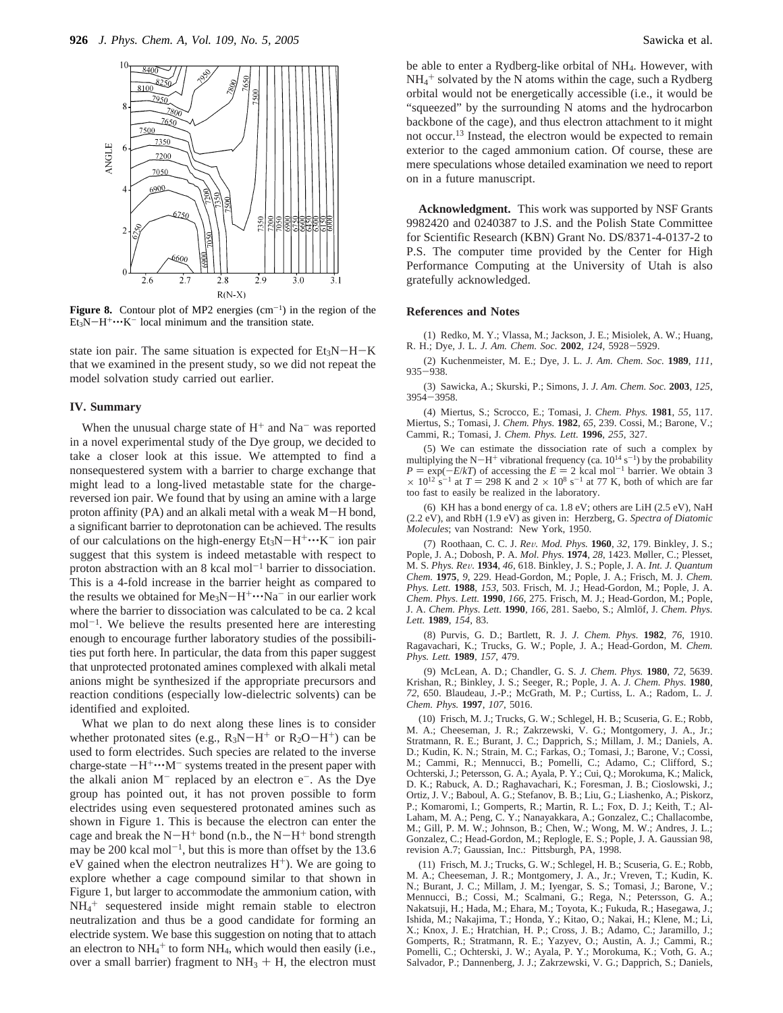

**Figure 8.** Contour plot of MP2 energies  $(cm<sup>-1</sup>)$  in the region of the  $Et<sub>3</sub>N-H<sup>+</sup>...K<sup>-</sup>$  local minimum and the transition state.

state ion pair. The same situation is expected for  $Et_3N-H-K$ that we examined in the present study, so we did not repeat the model solvation study carried out earlier.

# **IV. Summary**

When the unusual charge state of  $H<sup>+</sup>$  and Na<sup>-</sup> was reported in a novel experimental study of the Dye group, we decided to take a closer look at this issue. We attempted to find a nonsequestered system with a barrier to charge exchange that might lead to a long-lived metastable state for the chargereversed ion pair. We found that by using an amine with a large proton affinity (PA) and an alkali metal with a weak M-H bond, a significant barrier to deprotonation can be achieved. The results of our calculations on the high-energy  $Et_3N-H^+\cdots K^-$  ion pair suggest that this system is indeed metastable with respect to proton abstraction with an  $8 \text{ kcal mol}^{-1}$  barrier to dissociation. This is a 4-fold increase in the barrier height as compared to the results we obtained for  $Me<sub>3</sub>N-H<sup>+</sup> \cdots Na<sup>-</sup>$  in our earlier work where the barrier to dissociation was calculated to be ca. 2 kcal  $mol^{-1}$ . We believe the results presented here are interesting enough to encourage further laboratory studies of the possibilities put forth here. In particular, the data from this paper suggest that unprotected protonated amines complexed with alkali metal anions might be synthesized if the appropriate precursors and reaction conditions (especially low-dielectric solvents) can be identified and exploited.

What we plan to do next along these lines is to consider whether protonated sites (e.g.,  $R_3N-H^+$  or  $R_2O-H^+$ ) can be used to form electrides. Such species are related to the inverse charge-state  $-H^+\cdots M^-$  systems treated in the present paper with the alkali anion  $M^-$  replaced by an electron  $e^-$ . As the Dye group has pointed out, it has not proven possible to form electrides using even sequestered protonated amines such as shown in Figure 1. This is because the electron can enter the cage and break the  $N-H^+$  bond (n.b., the  $N-H^+$  bond strength may be 200 kcal mol<sup>-1</sup>, but this is more than offset by the 13.6 eV gained when the electron neutralizes  $H^+$ ). We are going to explore whether a cage compound similar to that shown in Figure 1, but larger to accommodate the ammonium cation, with NH4 <sup>+</sup> sequestered inside might remain stable to electron neutralization and thus be a good candidate for forming an electride system. We base this suggestion on noting that to attach an electron to  $NH_4^+$  to form  $NH_4$ , which would then easily (i.e., over a small barrier) fragment to  $NH<sub>3</sub> + H$ , the electron must be able to enter a Rydberg-like orbital of NH4. However, with  $NH_4^+$  solvated by the N atoms within the cage, such a Rydberg orbital would not be energetically accessible (i.e., it would be "squeezed" by the surrounding N atoms and the hydrocarbon backbone of the cage), and thus electron attachment to it might not occur.13 Instead, the electron would be expected to remain exterior to the caged ammonium cation. Of course, these are mere speculations whose detailed examination we need to report on in a future manuscript.

**Acknowledgment.** This work was supported by NSF Grants 9982420 and 0240387 to J.S. and the Polish State Committee for Scientific Research (KBN) Grant No. DS/8371-4-0137-2 to P.S. The computer time provided by the Center for High Performance Computing at the University of Utah is also gratefully acknowledged.

### **References and Notes**

(1) Redko, M. Y.; Vlassa, M.; Jackson, J. E.; Misiolek, A. W.; Huang, R. H.; Dye, J. L. *J. Am. Chem. Soc.* **<sup>2002</sup>**, *<sup>124</sup>*, 5928-5929.

(2) Kuchenmeister, M. E.; Dye, J. L. *J. Am. Chem. Soc.* **1989**, *111*, <sup>935</sup>-938.

(3) Sawicka, A.; Skurski, P.; Simons, J. *J. Am. Chem. Soc.* **2003**, *125*, <sup>3954</sup>-3958.

(4) Miertus, S.; Scrocco, E.; Tomasi, J. *Chem. Phys.* **1981**, *55*, 117. Miertus, S.; Tomasi, J. *Chem. Phys.* **1982**, *65*, 239. Cossi, M.; Barone, V.; Cammi, R.; Tomasi, J. *Chem. Phys. Lett.* **1996**, *255*, 327.

(5) We can estimate the dissociation rate of such a complex by multiplying the N-H<sup>+</sup> vibrational frequency (ca.  $10^{14}$  s<sup>-1</sup>) by the probability multiplying the N-H<sup>+</sup> vibrational frequency (ca.  $10^{14}$  s<sup>-1</sup>) by the probability  $P = \exp(-E/kT)$  of accessing the  $E = 2$  kcal mol<sup>-1</sup> barrier. We obtain 3  $P = \exp(-E/kT)$  of accessing the  $E = 2$  kcal mol<sup>-1</sup> barrier. We obtain 3  $\times$  10<sup>12</sup> s<sup>-1</sup> at  $T = 298$  K and 2  $\times$  10<sup>8</sup> s<sup>-1</sup> at 77 K both of which are far  $\times$  10<sup>12</sup> s<sup>-1</sup> at *T* = 298 K and 2  $\times$  10<sup>8</sup> s<sup>-1</sup> at 77 K, both of which are far too fast to easily be realized in the laboratory too fast to easily be realized in the laboratory.

(6) KH has a bond energy of ca. 1.8 eV; others are LiH (2.5 eV), NaH (2.2 eV), and RbH (1.9 eV) as given in: Herzberg, G. *Spectra of Diatomic Molecules*; van Nostrand: New York, 1950.

(7) Roothaan, C. C. J. *Re*V*. Mod. Phys.* **<sup>1960</sup>**, *<sup>32</sup>*, 179. Binkley, J. S.; Pople, J. A.; Dobosh, P. A. *Mol. Phys.* **1974**, *28*, 1423. Møller, C.; Plesset, M. S. *Phys. Re*V*.* **<sup>1934</sup>**, *<sup>46</sup>*, 618. Binkley, J. S.; Pople, J. A. *Int. J. Quantum Chem.* **1975**, *9*, 229. Head-Gordon, M.; Pople, J. A.; Frisch, M. J. *Chem. Phys. Lett.* **1988**, *153*, 503. Frisch, M. J.; Head-Gordon, M.; Pople, J. A. *Chem. Phys. Lett.* **1990**, *166*, 275. Frisch, M. J.; Head-Gordon, M.; Pople, J. A. *Chem. Phys. Lett.* **1990**, *166*, 281. Saebo, S.; Almlöf, J. *Chem. Phys. Lett.* **1989**, *154*, 83.

(8) Purvis, G. D.; Bartlett, R. J. *J. Chem. Phys.* **1982**, *76*, 1910. Ragavachari, K.; Trucks, G. W.; Pople, J. A.; Head-Gordon, M. *Chem. Phys. Lett.* **1989**, *157*, 479.

(9) McLean, A. D.; Chandler, G. S. *J. Chem. Phys.* **1980**, *72*, 5639. Krishan, R.; Binkley, J. S.; Seeger, R.; Pople, J. A. *J. Chem. Phys.* **1980**, *72*, 650. Blaudeau, J.-P.; McGrath, M. P.; Curtiss, L. A.; Radom, L. *J. Chem. Phys.* **1997**, *107*, 5016.

(10) Frisch, M. J.; Trucks, G. W.; Schlegel, H. B.; Scuseria, G. E.; Robb, M. A.; Cheeseman, J. R.; Zakrzewski, V. G.; Montgomery, J. A., Jr.; Stratmann, R. E.; Burant, J. C.; Dapprich, S.; Millam, J. M.; Daniels, A. D.; Kudin, K. N.; Strain, M. C.; Farkas, O.; Tomasi, J.; Barone, V.; Cossi, M.; Cammi, R.; Mennucci, B.; Pomelli, C.; Adamo, C.; Clifford, S.; Ochterski, J.; Petersson, G. A.; Ayala, P. Y.; Cui, Q.; Morokuma, K.; Malick, D. K.; Rabuck, A. D.; Raghavachari, K.; Foresman, J. B.; Cioslowski, J.; Ortiz, J. V.; Baboul, A. G.; Stefanov, B. B.; Liu, G.; Liashenko, A.; Piskorz, P.; Komaromi, I.; Gomperts, R.; Martin, R. L.; Fox, D. J.; Keith, T.; Al-Laham, M. A.; Peng, C. Y.; Nanayakkara, A.; Gonzalez, C.; Challacombe, M.; Gill, P. M. W.; Johnson, B.; Chen, W.; Wong, M. W.; Andres, J. L.; Gonzalez, C.; Head-Gordon, M.; Replogle, E. S.; Pople, J. A. Gaussian 98, revision A.7; Gaussian, Inc.: Pittsburgh, PA, 1998.

(11) Frisch, M. J.; Trucks, G. W.; Schlegel, H. B.; Scuseria, G. E.; Robb, M. A.; Cheeseman, J. R.; Montgomery, J. A., Jr.; Vreven, T.; Kudin, K. N.; Burant, J. C.; Millam, J. M.; Iyengar, S. S.; Tomasi, J.; Barone, V.; Mennucci, B.; Cossi, M.; Scalmani, G.; Rega, N.; Petersson, G. A.; Nakatsuji, H.; Hada, M.; Ehara, M.; Toyota, K.; Fukuda, R.; Hasegawa, J.; Ishida, M.; Nakajima, T.; Honda, Y.; Kitao, O.; Nakai, H.; Klene, M.; Li, X.; Knox, J. E.; Hratchian, H. P.; Cross, J. B.; Adamo, C.; Jaramillo, J.; Gomperts, R.; Stratmann, R. E.; Yazyev, O.; Austin, A. J.; Cammi, R.; Pomelli, C.; Ochterski, J. W.; Ayala, P. Y.; Morokuma, K.; Voth, G. A.; Salvador, P.; Dannenberg, J. J.; Zakrzewski, V. G.; Dapprich, S.; Daniels,